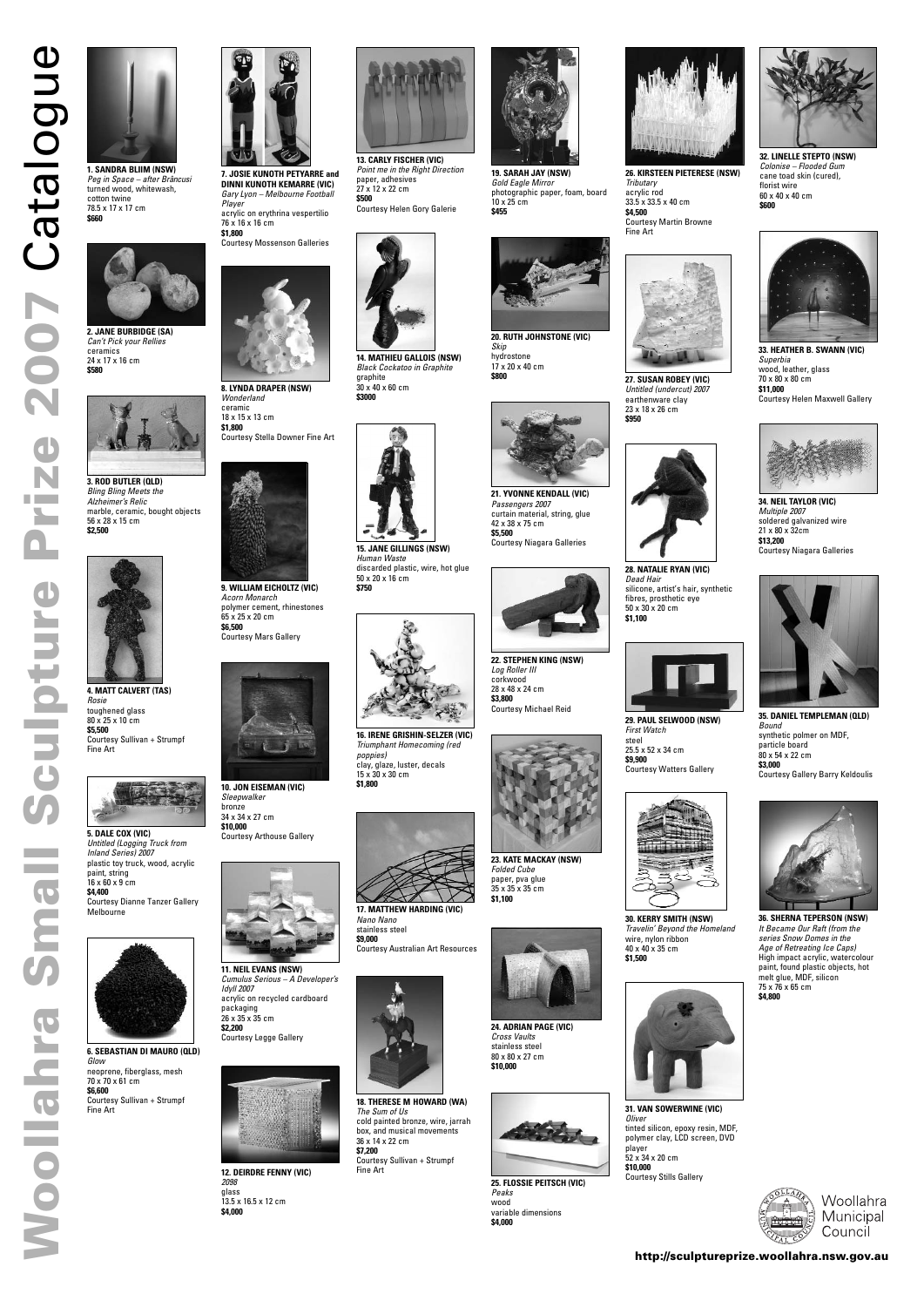# 2007 Catalogue **Woolf Catalogue Catalogue in the Catalogue in the Catalogue of the Catalogue in the Catalogue in the Catalogue in the Catalogue in the Catalogue in the Catalogue in the Catalogue in the Catalogue in the Catalogue in the C** Prize Sculpture



1. SANDRA BLIIM (NSW) Peg in Space – after Brâncusi turned wood, whitewash, cotton twine 78.5 x 17 x 17 cm **\$660**



**2. JANE BURBIDGE (SA)** Can't Pick your Rellies ceramics 24 x 17 x 16 cm **\$580**



**3. ROD BUTLER (QLD)** Bling Bling Meets the Alzheimer's Relic marble, ceramic, bought objects 56 x 28 x 15 cm **\$2,500**



**4. MATT CALVERT (TAS)** Rosie toughened glass 80 x 25 x 10 cm **\$5,500** Courtesy Sullivan + Strumpf Fine Art



**5. DALE COX (VIC)** Untitled (Logging Truck from Inland Series) 2007 plastic toy truck, wood, acrylic paint, string 16 x 60 x 9 cm **\$4,400** Courtesy Dianne Tanzer Gallery Melbourne



**6. SEBASTIAN DI MAURO (QLD)**

Glow

neoprene, fiberglass, mesh

70 x 70 x 61 cm **\$6,600**



Courtesy Sullivan + Strumpf

Fine Art

**8. LYNDA DRAPER (NSW)** Wonderland ceramic 18 x 15 x 13 cm

**\$1,800** Courtesy Stella Downer Fine Art



**9. WILLIAM EICHOLTZ (VIC)** Acorn Monarch polymer cement, rhinestones 65 x 25 x 20 cm **\$6,500** Courtesy Mars Gallery



**10. JON EISEMAN (VIC)** Sleepwalker bronze 34 x 34 x 27 cm **\$10,000** Courtesy Arthouse Gallery



**11. NEIL EVANS (NSW)** Cumulus Serious – A Developer's





**26. KIRSTEEN PIETERESE (NSW)** Tributary acrylic rod 33.5 x 33.5 x 40 cm **\$4,500** Courtesy Martin Browne Fine Art

Idyll 2007 acrylic on recycled cardboard packaging 26 x 35 x 35 cm **\$2,200** Courtesy Legge Gallery



**12. DEIRDRE FENNY (VIC)** 2098 glass 13.5 x 16.5 x 12 cm **\$4,000**





**14. MATHIEU GALLOIS (NSW)** Black Cockatoo in Graphite graphite 30 x 40 x 60 cm **\$3000**



**15. JANE GILLINGS (NSW)** Human Waste discarded plastic, wire, hot glue 50 x 20 x 16 cm **\$750**



**16. IRENE GRISHIN-SELZER (VIC)** Triumphant Homecoming (red poppies) clay, glaze, luster, decals 15 x 30 x 30 cm **\$1,800**



**17. MATTHEW HARDING (VIC)** Nano Nano stainless steel **\$9,000**

Courtesy Australian Art Resources

**18. THERESE M HOWARD (WA)** The Sum of Us cold painted bronze, wire, jarrah box, and musical movements 36 x 14 x 22 cm **\$7,200** Courtesy Sullivan + Strumpf Fine Art



**20. RUTH JOHNSTONE (VIC)** Skip hydrostone 17 x 20 x 40 cm **\$800**



**21. YVONNE KENDALL (VIC)** Passengers 2007 curtain material, string, glue 42 x 38 x 75 cm **\$5,500** Courtesy Niagara Galleries



**22. STEPHEN KING (NSW)** Log Roller III corkwood 28 x 48 x 24 cm **\$3,800** Courtesy Michael Reid



**23. KATE MACKAY (NSW)** Folded Cube paper, pva glue 35 x 35 x 35 cm **\$1,100**



**24. ADRIAN PAGE (VIC)** Cross Vaults stainless steel 80 x 80 x 27 cm **\$10,000**



**25. FLOSSIE PEITSCH (VIC)** Peaks wood variable dimensions **\$4,000**





**27. SUSAN ROBEY (VIC)** Untitled (undercut) 2007 earthenware clay 23 x 18 x 26 cm **\$950**



**33. HEATHER B. SWANN (VIC)** Superbia wood, leather, glass 70 x 80 x 80 cm **\$11,000** Courtesy Helen Maxwell Gallery



**28. NATALIE RYAN (VIC)** Dead Hair silicone, artist's hair, synthetic fibres, prosthetic eye 50 x 30 x 20 cm **\$1,100**



**29. PAUL SELWOOD (NSW)** First Watch steel 25.5 x 52 x 34 cm **\$9,900** Courtesy Watters Gallery



**30. KERRY SMITH (NSW)** Travelin' Beyond the Homeland wire, nylon ribbon 40 x 40 x 35 cm **\$1,500**

**31. VAN SOWERWINE (VIC) Oliver** tinted silicon, epoxy resin, MDF, polymer clay, LCD screen, DVD player 52 x 34 x 20 cm **\$10,000** Courtesy Stills Gallery





**32. LINELLE STEPTO (NSW)** Colonise – Flooded Gum cane toad skin (cured), florist wire 60 x 40 x 40 cm **\$600**



**34. NEIL TAYLOR (VIC)** Multiple 2007 soldered galvanized wire 21 x 80 x 32cm **\$13,200** Courtesy Niagara Galleries



**35. DANIEL TEMPLEMAN (QLD)** Bound synthetic polmer on MDF, particle board 80 x 54 x 22 cm **\$3,000** Courtesy Gallery Barry Keldoulis



**36. SHERNA TEPERSON (NSW)** It Became Our Raft (from the series Snow Domes in the Age of Retreating Ice Caps) High impact acrylic, watercolour paint, found plastic objects, hot melt glue, MDF, silicon 75 x 76 x 65 cm





**Smal** 

**\$4,800**



**19. SARAH JAY (NSW)** Gold Eagle Mirror photographic paper, foam, board 10 x 25 cm **\$455**

**13. CARLY FISCHER (VIC)** Point me in the Right Direction paper, adhesives 27 x 12 x 22 cm **\$500** Courtesy Helen Gory Galerie

**7. JOSIE KUNOTH PETYARRE and DINNI KUNOTH KEMARRE (VIC)** Gary Lyon – Melbourne Football **Player** acrylic on erythrina vespertilio 76 x 16 x 16 cm **\$1,800**

Courtesy Mossenson Galleries



### **http://sculptureprize.woollahra.nsw.gov.au**